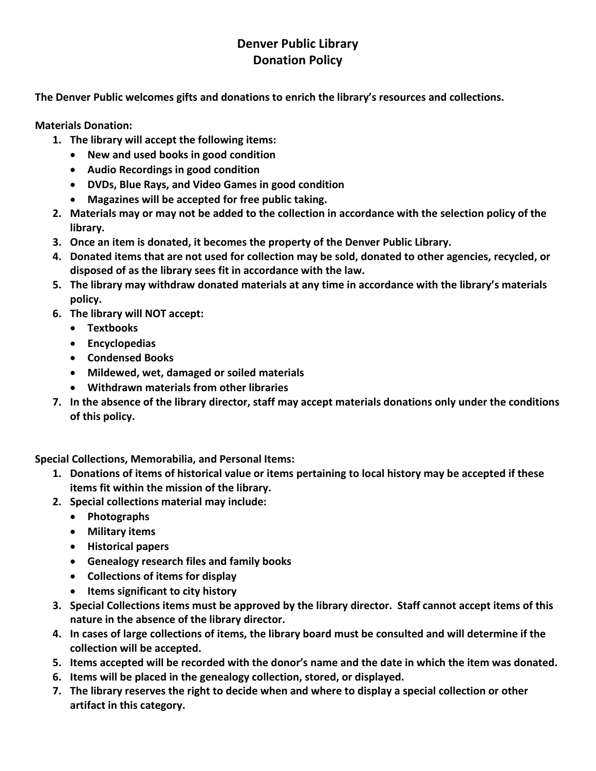## **Denver Public Library Donation Policy**

**The Denver Public welcomes gifts and donations to enrich the library's resources and collections.** 

**Materials Donation:**

- **1. The library will accept the following items:**
	- **New and used books in good condition**
	- **Audio Recordings in good condition**
	- **DVDs, Blue Rays, and Video Games in good condition**
	- **Magazines will be accepted for free public taking.**
- **2. Materials may or may not be added to the collection in accordance with the selection policy of the library.**
- **3. Once an item is donated, it becomes the property of the Denver Public Library.**
- **4. Donated items that are not used for collection may be sold, donated to other agencies, recycled, or disposed of as the library sees fit in accordance with the law.**
- **5. The library may withdraw donated materials at any time in accordance with the library's materials policy.**
- **6. The library will NOT accept:**
	- **Textbooks**
	- **Encyclopedias**
	- **Condensed Books**
	- **Mildewed, wet, damaged or soiled materials**
	- **Withdrawn materials from other libraries**
- **7. In the absence of the library director, staff may accept materials donations only under the conditions of this policy.**

**Special Collections, Memorabilia, and Personal Items:** 

- **1. Donations of items of historical value or items pertaining to local history may be accepted if these items fit within the mission of the library.**
- **2. Special collections material may include:**
	- **Photographs**
	- **Military items**
	- **Historical papers**
	- **Genealogy research files and family books**
	- **Collections of items for display**
	- **Items significant to city history**
- **3. Special Collections items must be approved by the library director. Staff cannot accept items of this nature in the absence of the library director.**
- **4. In cases of large collections of items, the library board must be consulted and will determine if the collection will be accepted.**
- **5. Items accepted will be recorded with the donor's name and the date in which the item was donated.**
- **6. Items will be placed in the genealogy collection, stored, or displayed.**
- **7. The library reserves the right to decide when and where to display a special collection or other artifact in this category.**